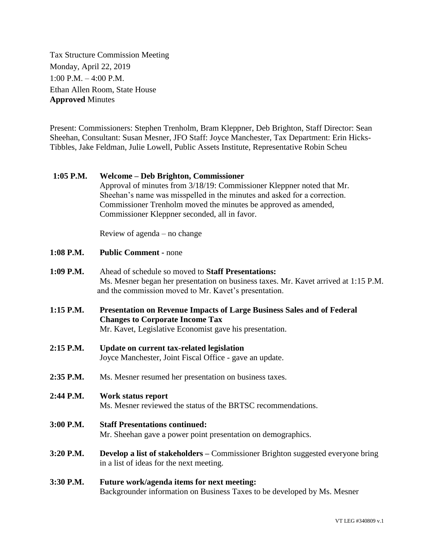Tax Structure Commission Meeting Monday, April 22, 2019 1:00 P.M. – 4:00 P.M. Ethan Allen Room, State House **Approved** Minutes

Present: Commissioners: Stephen Trenholm, Bram Kleppner, Deb Brighton, Staff Director: Sean Sheehan, Consultant: Susan Mesner, JFO Staff: Joyce Manchester, Tax Department: Erin Hicks-Tibbles, Jake Feldman, Julie Lowell, Public Assets Institute, Representative Robin Scheu

## **1:05 P.M. Welcome – Deb Brighton, Commissioner**

Approval of minutes from 3/18/19: Commissioner Kleppner noted that Mr. Sheehan's name was misspelled in the minutes and asked for a correction. Commissioner Trenholm moved the minutes be approved as amended, Commissioner Kleppner seconded, all in favor.

Review of agenda – no change

- **1:08 P.M. Public Comment -** none
- **1:09 P.M.** Ahead of schedule so moved to **Staff Presentations:** Ms. Mesner began her presentation on business taxes. Mr. Kavet arrived at 1:15 P.M. and the commission moved to Mr. Kavet's presentation.
- **1:15 P.M. Presentation on Revenue Impacts of Large Business Sales and of Federal Changes to Corporate Income Tax** Mr. Kavet, Legislative Economist gave his presentation.
- **2:15 P.M. Update on current tax-related legislation** Joyce Manchester, Joint Fiscal Office - gave an update.
- **2:35 P.M.** Ms. Mesner resumed her presentation on business taxes.

## **2:44 P.M. Work status report** Ms. Mesner reviewed the status of the BRTSC recommendations.

- **3:00 P.M. Staff Presentations continued:** Mr. Sheehan gave a power point presentation on demographics.
- **3:20 P.M. Develop a list of stakeholders –** Commissioner Brighton suggested everyone bring in a list of ideas for the next meeting.

## **3:30 P.M. Future work/agenda items for next meeting:** Backgrounder information on Business Taxes to be developed by Ms. Mesner